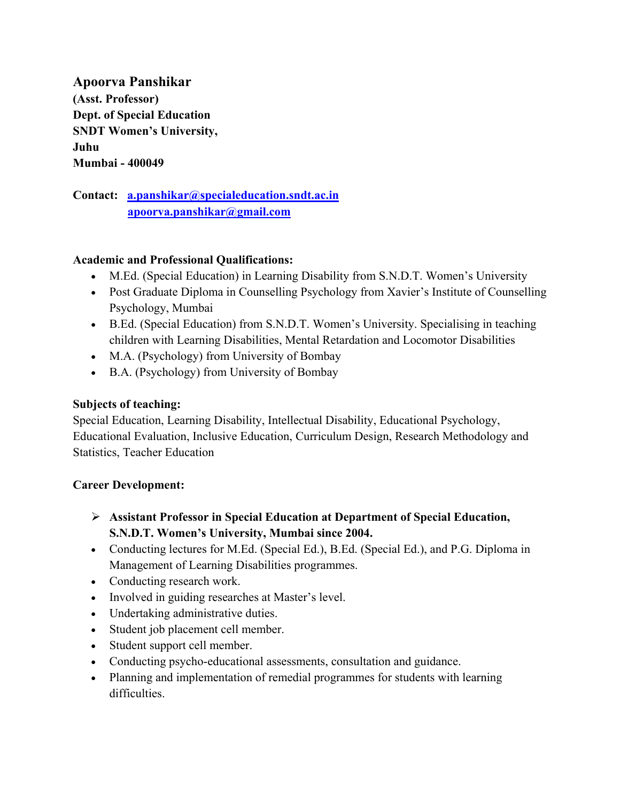**Apoorva Panshikar (Asst. Professor) Dept. of Special Education SNDT Women's University, Juhu Mumbai - 400049**

**Contact: [a.panshikar@specialeducation.sndt.ac.in](mailto:a.panshikar@specialeducation.sndt.ac.in)  [apoorva.panshikar@gmail.com](mailto:apoorva.panshikar@gmail.com)**

### **Academic and Professional Qualifications:**

- M.Ed. (Special Education) in Learning Disability from S.N.D.T. Women's University
- Post Graduate Diploma in Counselling Psychology from Xavier's Institute of Counselling Psychology, Mumbai
- B.Ed. (Special Education) from S.N.D.T. Women's University. Specialising in teaching children with Learning Disabilities, Mental Retardation and Locomotor Disabilities
- M.A. (Psychology) from University of Bombay
- B.A. (Psychology) from University of Bombay

#### **Subjects of teaching:**

Special Education, Learning Disability, Intellectual Disability, Educational Psychology, Educational Evaluation, Inclusive Education, Curriculum Design, Research Methodology and Statistics, Teacher Education

## **Career Development:**

- **Assistant Professor in Special Education at Department of Special Education, S.N.D.T. Women's University, Mumbai since 2004.**
- Conducting lectures for M.Ed. (Special Ed.), B.Ed. (Special Ed.), and P.G. Diploma in Management of Learning Disabilities programmes.
- Conducting research work.
- Involved in guiding researches at Master's level.
- Undertaking administrative duties.
- Student job placement cell member.
- Student support cell member.
- Conducting psycho-educational assessments, consultation and guidance.
- Planning and implementation of remedial programmes for students with learning difficulties.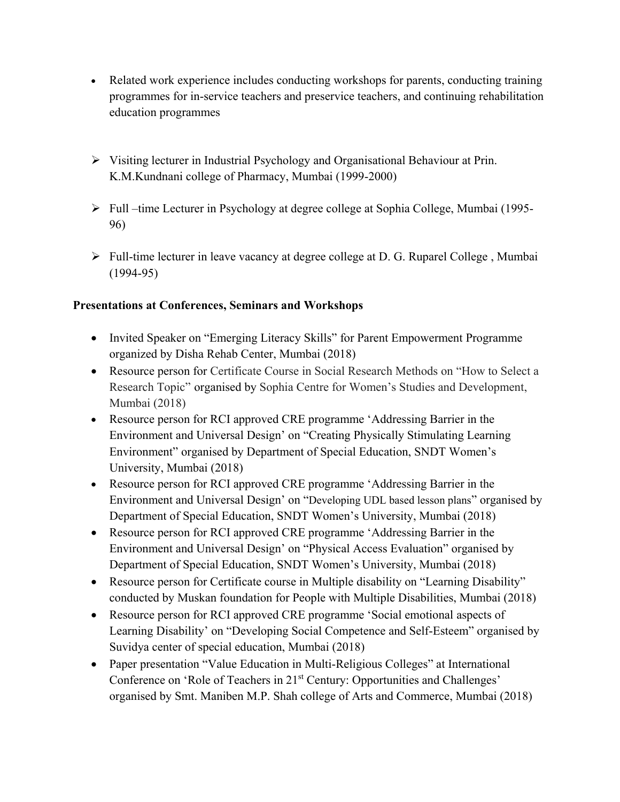- Related work experience includes conducting workshops for parents, conducting training programmes for in-service teachers and preservice teachers, and continuing rehabilitation education programmes
- $\triangleright$  Visiting lecturer in Industrial Psychology and Organisational Behaviour at Prin. K.M.Kundnani college of Pharmacy, Mumbai (1999-2000)
- $\triangleright$  Full –time Lecturer in Psychology at degree college at Sophia College, Mumbai (1995-96)
- Full-time lecturer in leave vacancy at degree college at D. G. Ruparel College , Mumbai (1994-95)

### **Presentations at Conferences, Seminars and Workshops**

- Invited Speaker on "Emerging Literacy Skills" for Parent Empowerment Programme organized by Disha Rehab Center, Mumbai (2018)
- Resource person for Certificate Course in Social Research Methods on "How to Select a Research Topic" organised by Sophia Centre for Women's Studies and Development, Mumbai (2018)
- Resource person for RCI approved CRE programme 'Addressing Barrier in the Environment and Universal Design' on "Creating Physically Stimulating Learning Environment" organised by Department of Special Education, SNDT Women's University, Mumbai (2018)
- Resource person for RCI approved CRE programme 'Addressing Barrier in the Environment and Universal Design' on "Developing UDL based lesson plans" organised by Department of Special Education, SNDT Women's University, Mumbai (2018)
- Resource person for RCI approved CRE programme 'Addressing Barrier in the Environment and Universal Design' on "Physical Access Evaluation" organised by Department of Special Education, SNDT Women's University, Mumbai (2018)
- Resource person for Certificate course in Multiple disability on "Learning Disability" conducted by Muskan foundation for People with Multiple Disabilities, Mumbai (2018)
- Resource person for RCI approved CRE programme 'Social emotional aspects of Learning Disability' on "Developing Social Competence and Self-Esteem" organised by Suvidya center of special education, Mumbai (2018)
- Paper presentation "Value Education in Multi-Religious Colleges" at International Conference on 'Role of Teachers in 21<sup>st</sup> Century: Opportunities and Challenges' organised by Smt. Maniben M.P. Shah college of Arts and Commerce, Mumbai (2018)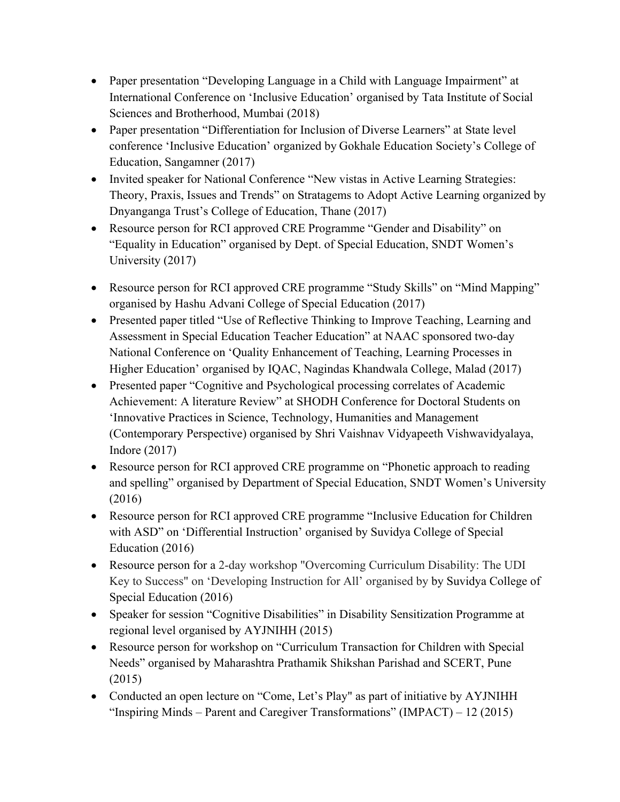- Paper presentation "Developing Language in a Child with Language Impairment" at International Conference on 'Inclusive Education' organised by Tata Institute of Social Sciences and Brotherhood, Mumbai (2018)
- Paper presentation "Differentiation for Inclusion of Diverse Learners" at State level conference 'Inclusive Education' organized by Gokhale Education Society's College of Education, Sangamner (2017)
- Invited speaker for National Conference "New vistas in Active Learning Strategies: Theory, Praxis, Issues and Trends" on Stratagems to Adopt Active Learning organized by Dnyanganga Trust's College of Education, Thane (2017)
- Resource person for RCI approved CRE Programme "Gender and Disability" on "Equality in Education" organised by Dept. of Special Education, SNDT Women's University (2017)
- Resource person for RCI approved CRE programme "Study Skills" on "Mind Mapping" organised by Hashu Advani College of Special Education (2017)
- Presented paper titled "Use of Reflective Thinking to Improve Teaching, Learning and Assessment in Special Education Teacher Education" at NAAC sponsored two-day National Conference on 'Quality Enhancement of Teaching, Learning Processes in Higher Education' organised by IQAC, Nagindas Khandwala College, Malad (2017)
- Presented paper "Cognitive and Psychological processing correlates of Academic Achievement: A literature Review" at SHODH Conference for Doctoral Students on 'Innovative Practices in Science, Technology, Humanities and Management (Contemporary Perspective) organised by Shri Vaishnav Vidyapeeth Vishwavidyalaya, Indore (2017)
- Resource person for RCI approved CRE programme on "Phonetic approach to reading and spelling" organised by Department of Special Education, SNDT Women's University (2016)
- Resource person for RCI approved CRE programme "Inclusive Education for Children with ASD" on 'Differential Instruction' organised by Suvidya College of Special Education (2016)
- Resource person for a 2-day workshop "Overcoming Curriculum Disability: The UDI Key to Success" on 'Developing Instruction for All' organised by by Suvidya College of Special Education (2016)
- Speaker for session "Cognitive Disabilities" in Disability Sensitization Programme at regional level organised by AYJNIHH (2015)
- Resource person for workshop on "Curriculum Transaction for Children with Special Needs" organised by Maharashtra Prathamik Shikshan Parishad and SCERT, Pune (2015)
- Conducted an open lecture on "Come, Let's Play" as part of initiative by AYJNIHH "Inspiring Minds – Parent and Caregiver Transformations" (IMPACT) – 12 (2015)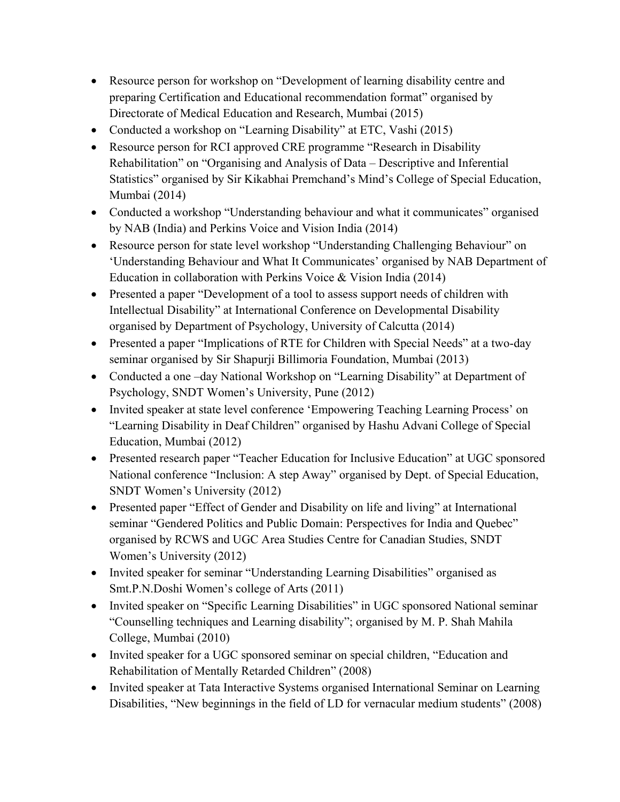- Resource person for workshop on "Development of learning disability centre and preparing Certification and Educational recommendation format" organised by Directorate of Medical Education and Research, Mumbai (2015)
- Conducted a workshop on "Learning Disability" at ETC, Vashi (2015)
- Resource person for RCI approved CRE programme "Research in Disability Rehabilitation" on "Organising and Analysis of Data – Descriptive and Inferential Statistics" organised by Sir Kikabhai Premchand's Mind's College of Special Education, Mumbai (2014)
- Conducted a workshop "Understanding behaviour and what it communicates" organised by NAB (India) and Perkins Voice and Vision India (2014)
- Resource person for state level workshop "Understanding Challenging Behaviour" on 'Understanding Behaviour and What It Communicates' organised by NAB Department of Education in collaboration with Perkins Voice & Vision India (2014)
- Presented a paper "Development of a tool to assess support needs of children with Intellectual Disability" at International Conference on Developmental Disability organised by Department of Psychology, University of Calcutta (2014)
- Presented a paper "Implications of RTE for Children with Special Needs" at a two-day seminar organised by Sir Shapurji Billimoria Foundation, Mumbai (2013)
- Conducted a one –day National Workshop on "Learning Disability" at Department of Psychology, SNDT Women's University, Pune (2012)
- Invited speaker at state level conference 'Empowering Teaching Learning Process' on "Learning Disability in Deaf Children" organised by Hashu Advani College of Special Education, Mumbai (2012)
- Presented research paper "Teacher Education for Inclusive Education" at UGC sponsored National conference "Inclusion: A step Away" organised by Dept. of Special Education, SNDT Women's University (2012)
- Presented paper "Effect of Gender and Disability on life and living" at International seminar "Gendered Politics and Public Domain: Perspectives for India and Quebec" organised by RCWS and UGC Area Studies Centre for Canadian Studies, SNDT Women's University (2012)
- Invited speaker for seminar "Understanding Learning Disabilities" organised as Smt.P.N.Doshi Women's college of Arts (2011)
- Invited speaker on "Specific Learning Disabilities" in UGC sponsored National seminar "Counselling techniques and Learning disability"; organised by M. P. Shah Mahila College, Mumbai (2010)
- Invited speaker for a UGC sponsored seminar on special children, "Education and Rehabilitation of Mentally Retarded Children" (2008)
- Invited speaker at Tata Interactive Systems organised International Seminar on Learning Disabilities, "New beginnings in the field of LD for vernacular medium students" (2008)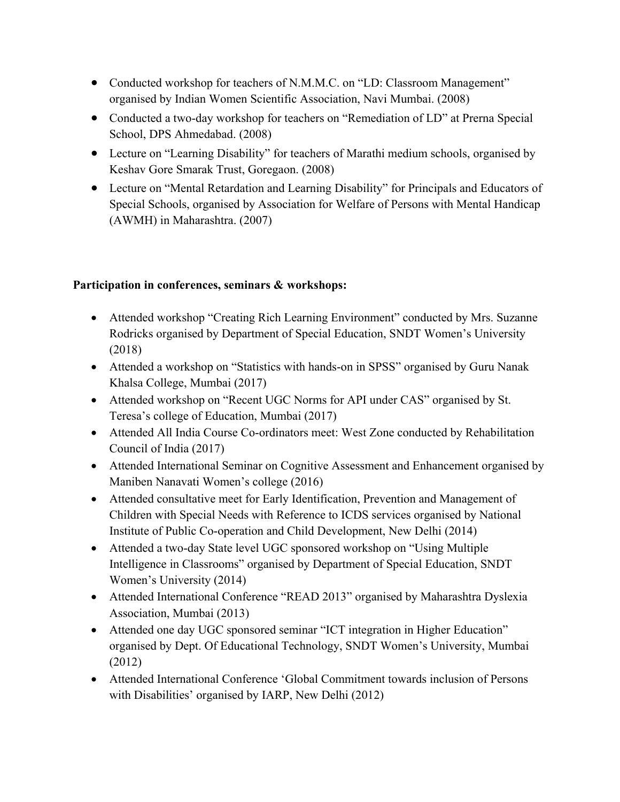- Conducted workshop for teachers of N.M.M.C. on "LD: Classroom Management" organised by Indian Women Scientific Association, Navi Mumbai. (2008)
- Conducted a two-day workshop for teachers on "Remediation of LD" at Prerna Special School, DPS Ahmedabad. (2008)
- Lecture on "Learning Disability" for teachers of Marathi medium schools, organised by Keshav Gore Smarak Trust, Goregaon. (2008)
- Lecture on "Mental Retardation and Learning Disability" for Principals and Educators of Special Schools, organised by Association for Welfare of Persons with Mental Handicap (AWMH) in Maharashtra. (2007)

#### **Participation in conferences, seminars & workshops:**

- Attended workshop "Creating Rich Learning Environment" conducted by Mrs. Suzanne Rodricks organised by Department of Special Education, SNDT Women's University (2018)
- Attended a workshop on "Statistics with hands-on in SPSS" organised by Guru Nanak Khalsa College, Mumbai (2017)
- Attended workshop on "Recent UGC Norms for API under CAS" organised by St. Teresa's college of Education, Mumbai (2017)
- Attended All India Course Co-ordinators meet: West Zone conducted by Rehabilitation Council of India (2017)
- Attended International Seminar on Cognitive Assessment and Enhancement organised by Maniben Nanavati Women's college (2016)
- Attended consultative meet for Early Identification, Prevention and Management of Children with Special Needs with Reference to ICDS services organised by National Institute of Public Co-operation and Child Development, New Delhi (2014)
- Attended a two-day State level UGC sponsored workshop on "Using Multiple Intelligence in Classrooms" organised by Department of Special Education, SNDT Women's University (2014)
- Attended International Conference "READ 2013" organised by Maharashtra Dyslexia Association, Mumbai (2013)
- Attended one day UGC sponsored seminar "ICT integration in Higher Education" organised by Dept. Of Educational Technology, SNDT Women's University, Mumbai (2012)
- Attended International Conference 'Global Commitment towards inclusion of Persons with Disabilities' organised by IARP, New Delhi (2012)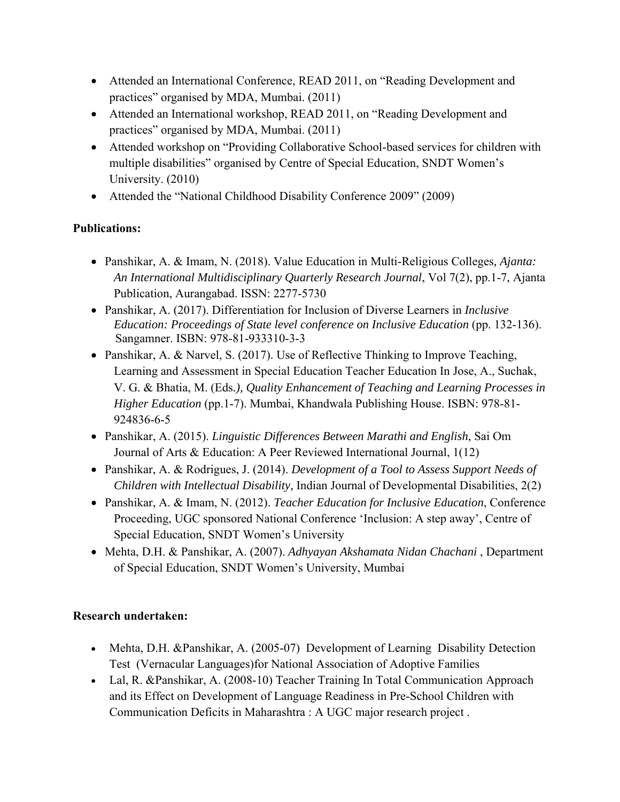- Attended an International Conference, READ 2011, on "Reading Development and practices" organised by MDA, Mumbai. (2011)
- Attended an International workshop, READ 2011, on "Reading Development and practices" organised by MDA, Mumbai. (2011)
- Attended workshop on "Providing Collaborative School-based services for children with multiple disabilities" organised by Centre of Special Education, SNDT Women's University. (2010)
- Attended the "National Childhood Disability Conference 2009" (2009)

# **Publications:**

- Panshikar, A. & Imam, N. (2018). Value Education in Multi-Religious Colleges*, Ajanta: An International Multidisciplinary Quarterly Research Journal*, Vol 7(2), pp.1-7, Ajanta Publication, Aurangabad. ISSN: 2277-5730
- Panshikar, A. (2017). Differentiation for Inclusion of Diverse Learners in *Inclusive Education: Proceedings of State level conference on Inclusive Education* (pp. 132-136). Sangamner. ISBN: 978-81-933310-3-3
- Panshikar, A. & Narvel, S. (2017). Use of Reflective Thinking to Improve Teaching, Learning and Assessment in Special Education Teacher Education In Jose, A., Suchak, V. G. & Bhatia, M. (Eds*.), Quality Enhancement of Teaching and Learning Processes in Higher Education* (pp.1-7). Mumbai, Khandwala Publishing House. ISBN: 978-81- 924836-6-5
- Panshikar, A. (2015). *Linguistic Differences Between Marathi and English*, Sai Om Journal of Arts & Education: A Peer Reviewed International Journal, 1(12)
- Panshikar, A. & Rodrigues, J. (2014). *Development of a Tool to Assess Support Needs of Children with Intellectual Disability,* Indian Journal of Developmental Disabilities, 2(2)
- Panshikar, A. & Imam, N. (2012). *Teacher Education for Inclusive Education*, Conference Proceeding, UGC sponsored National Conference 'Inclusion: A step away', Centre of Special Education, SNDT Women's University
- Mehta, D.H. & Panshikar, A. (2007). *Adhyayan Akshamata Nidan Chachani* , Department of Special Education, SNDT Women's University, Mumbai

# **Research undertaken:**

- Mehta, D.H. &Panshikar, A. (2005-07) Development of Learning Disability Detection Test (Vernacular Languages)for National Association of Adoptive Families
- Lal, R. &Panshikar, A. (2008-10) Teacher Training In Total Communication Approach and its Effect on Development of Language Readiness in Pre-School Children with Communication Deficits in Maharashtra : A UGC major research project .